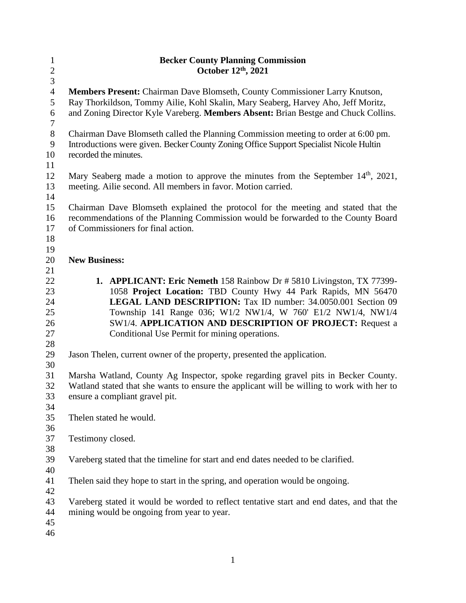| $\mathbf{1}$            | <b>Becker County Planning Commission</b>                                                                                                                                                                     |  |
|-------------------------|--------------------------------------------------------------------------------------------------------------------------------------------------------------------------------------------------------------|--|
| $\overline{c}$          | October 12th, 2021                                                                                                                                                                                           |  |
| 3                       |                                                                                                                                                                                                              |  |
| $\overline{4}$<br>5     | Members Present: Chairman Dave Blomseth, County Commissioner Larry Knutson,<br>Ray Thorkildson, Tommy Ailie, Kohl Skalin, Mary Seaberg, Harvey Aho, Jeff Moritz,                                             |  |
| 6<br>$\overline{7}$     | and Zoning Director Kyle Vareberg. Members Absent: Brian Bestge and Chuck Collins.                                                                                                                           |  |
| $8\,$<br>$\overline{9}$ | Chairman Dave Blomseth called the Planning Commission meeting to order at 6:00 pm.<br>Introductions were given. Becker County Zoning Office Support Specialist Nicole Hultin                                 |  |
| 10                      | recorded the minutes.                                                                                                                                                                                        |  |
| 11                      |                                                                                                                                                                                                              |  |
| 12<br>13                | Mary Seaberg made a motion to approve the minutes from the September 14 <sup>th</sup> , 2021,<br>meeting. Ailie second. All members in favor. Motion carried.                                                |  |
| 14                      |                                                                                                                                                                                                              |  |
| 15<br>16<br>17          | Chairman Dave Blomseth explained the protocol for the meeting and stated that the<br>recommendations of the Planning Commission would be forwarded to the County Board<br>of Commissioners for final action. |  |
| 18                      |                                                                                                                                                                                                              |  |
| 19                      |                                                                                                                                                                                                              |  |
| 20                      | <b>New Business:</b>                                                                                                                                                                                         |  |
| 21                      |                                                                                                                                                                                                              |  |
|                         |                                                                                                                                                                                                              |  |
| 22                      | <b>1. APPLICANT: Eric Nemeth 158 Rainbow Dr # 5810 Livingston, TX 77399-</b>                                                                                                                                 |  |
| 23                      | 1058 Project Location: TBD County Hwy 44 Park Rapids, MN 56470                                                                                                                                               |  |
| 24                      | LEGAL LAND DESCRIPTION: Tax ID number: 34.0050.001 Section 09                                                                                                                                                |  |
| 25                      | Township 141 Range 036; W1/2 NW1/4, W 760' E1/2 NW1/4, NW1/4                                                                                                                                                 |  |
| 26                      | SW1/4. APPLICATION AND DESCRIPTION OF PROJECT: Request a                                                                                                                                                     |  |
| 27                      | Conditional Use Permit for mining operations.                                                                                                                                                                |  |
| 28                      |                                                                                                                                                                                                              |  |
| 29                      | Jason Thelen, current owner of the property, presented the application.                                                                                                                                      |  |
| 30                      |                                                                                                                                                                                                              |  |
| 31                      | Marsha Watland, County Ag Inspector, spoke regarding gravel pits in Becker County.                                                                                                                           |  |
| 32                      | Watland stated that she wants to ensure the applicant will be willing to work with her to                                                                                                                    |  |
| 33                      | ensure a compliant gravel pit.                                                                                                                                                                               |  |
| 34                      |                                                                                                                                                                                                              |  |
| 35                      | Thelen stated he would.                                                                                                                                                                                      |  |
| 36                      |                                                                                                                                                                                                              |  |
| 37                      | Testimony closed.                                                                                                                                                                                            |  |
| 38                      |                                                                                                                                                                                                              |  |
| 39                      | Vareberg stated that the timeline for start and end dates needed to be clarified.                                                                                                                            |  |
| 40                      |                                                                                                                                                                                                              |  |
| 41                      | The len said they hope to start in the spring, and operation would be ongoing.                                                                                                                               |  |
|                         |                                                                                                                                                                                                              |  |
| 42                      |                                                                                                                                                                                                              |  |
| 43                      | Vareberg stated it would be worded to reflect tentative start and end dates, and that the                                                                                                                    |  |
| 44                      | mining would be ongoing from year to year.                                                                                                                                                                   |  |
| 45                      |                                                                                                                                                                                                              |  |
| 46                      |                                                                                                                                                                                                              |  |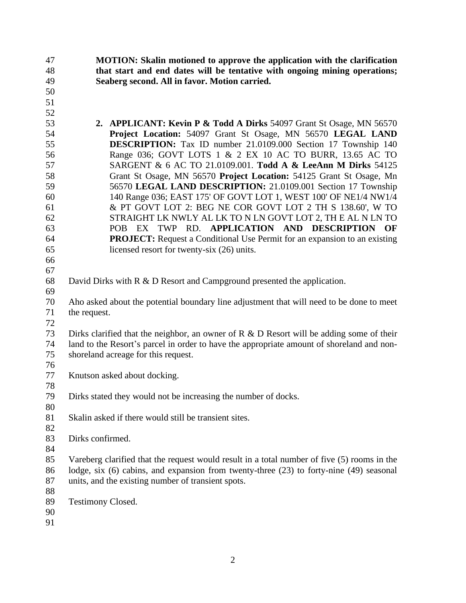| 47<br>48 | <b>MOTION:</b> Skalin motioned to approve the application with the clarification<br>that start and end dates will be tentative with ongoing mining operations; |  |
|----------|----------------------------------------------------------------------------------------------------------------------------------------------------------------|--|
| 49       | Seaberg second. All in favor. Motion carried.                                                                                                                  |  |
| 50       |                                                                                                                                                                |  |
| 51       |                                                                                                                                                                |  |
| 52       |                                                                                                                                                                |  |
| 53       | <b>2. APPLICANT: Kevin P &amp; Todd A Dirks 54097 Grant St Osage, MN 56570</b>                                                                                 |  |
| 54       | Project Location: 54097 Grant St Osage, MN 56570 LEGAL LAND                                                                                                    |  |
| 55       | <b>DESCRIPTION:</b> Tax ID number 21.0109.000 Section 17 Township 140                                                                                          |  |
| 56       | Range 036; GOVT LOTS 1 & 2 EX 10 AC TO BURR, 13.65 AC TO                                                                                                       |  |
| 57       | SARGENT & 6 AC TO 21.0109.001. Todd A & LeeAnn M Dirks 54125                                                                                                   |  |
| 58       | Grant St Osage, MN 56570 Project Location: 54125 Grant St Osage, Mn                                                                                            |  |
| 59       | 56570 LEGAL LAND DESCRIPTION: 21.0109.001 Section 17 Township                                                                                                  |  |
| 60       | 140 Range 036; EAST 175' OF GOVT LOT 1, WEST 100' OF NE1/4 NW1/4                                                                                               |  |
| 61       | & PT GOVT LOT 2: BEG NE COR GOVT LOT 2 TH S 138.60', W TO                                                                                                      |  |
| 62       | STRAIGHT LK NWLY AL LK TO N LN GOVT LOT 2, THE AL N LN TO                                                                                                      |  |
| 63       | POB EX TWP RD. APPLICATION AND DESCRIPTION<br>OF                                                                                                               |  |
| 64       | <b>PROJECT:</b> Request a Conditional Use Permit for an expansion to an existing                                                                               |  |
| 65       | licensed resort for twenty-six (26) units.                                                                                                                     |  |
| 66       |                                                                                                                                                                |  |
| 67       |                                                                                                                                                                |  |
| 68       | David Dirks with R & D Resort and Campground presented the application.                                                                                        |  |
| 69       |                                                                                                                                                                |  |
| 70       | Aho asked about the potential boundary line adjustment that will need to be done to meet                                                                       |  |
| 71       | the request.                                                                                                                                                   |  |
| 72       |                                                                                                                                                                |  |
| 73       | Dirks clarified that the neighbor, an owner of $R \& D$ Resort will be adding some of their                                                                    |  |
| 74       | land to the Resort's parcel in order to have the appropriate amount of shoreland and non-                                                                      |  |
| 75       | shoreland acreage for this request.                                                                                                                            |  |
| 76       |                                                                                                                                                                |  |
| 77       | Knutson asked about docking.                                                                                                                                   |  |
| 78       |                                                                                                                                                                |  |
| 79       | Dirks stated they would not be increasing the number of docks.                                                                                                 |  |
| 80       |                                                                                                                                                                |  |
| 81       | Skalin asked if there would still be transient sites.                                                                                                          |  |
| 82       |                                                                                                                                                                |  |
| 83       | Dirks confirmed.                                                                                                                                               |  |
| 84       |                                                                                                                                                                |  |
| 85       | Vareberg clarified that the request would result in a total number of five (5) rooms in the                                                                    |  |
| 86       | lodge, six (6) cabins, and expansion from twenty-three (23) to forty-nine (49) seasonal                                                                        |  |
| 87       | units, and the existing number of transient spots.                                                                                                             |  |
| 88       |                                                                                                                                                                |  |
| 89       | <b>Testimony Closed.</b>                                                                                                                                       |  |
| 90       |                                                                                                                                                                |  |
| 91       |                                                                                                                                                                |  |